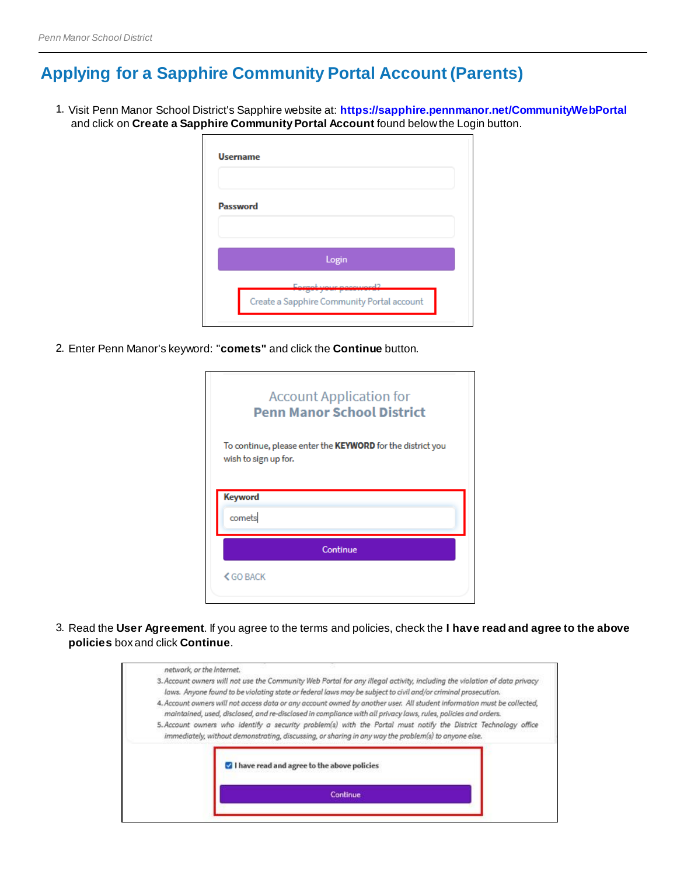## **Applying for a Sapphire Community Portal Account (Parents)**

1. Visit Penn Manor School District's Sapphire website at: **https://sapphire.pennmanor.net/CommunityWebPortal** and click on **Create a Sapphire Community Portal Account** found below the Login button.

| <b>Password</b> |                                                                     |
|-----------------|---------------------------------------------------------------------|
|                 |                                                                     |
|                 | Login                                                               |
|                 | Envent your nanouard?<br>Create a Sapphire Community Portal account |

2. Enter Penn Manor's keyword: "**comets"** and click the **Continue** button.

| <b>Account Application for</b><br><b>Penn Manor School District</b>                |  |  |  |  |
|------------------------------------------------------------------------------------|--|--|--|--|
| To continue, please enter the KEYWORD for the district you<br>wish to sign up for. |  |  |  |  |
| Keyword                                                                            |  |  |  |  |
| comets                                                                             |  |  |  |  |
| Continue                                                                           |  |  |  |  |
| <b>くGO BACK</b>                                                                    |  |  |  |  |

3. Read the **User Agreement**. If you agree to the terms and policies, check the **I have read and agree to the above policies** box and click **Continue**.

| I have read and agree to the above policies                                                                                                                                                                                                |
|--------------------------------------------------------------------------------------------------------------------------------------------------------------------------------------------------------------------------------------------|
|                                                                                                                                                                                                                                            |
| 5. Account owners who identify a security problem(s) with the Portal must notify the District Technology office<br>immediately, without demonstrating, discussing, or sharing in any way the problem(s) to anyone else.                    |
| 4. Account owners will not access data or any account owned by another user. All student information must be collected,<br>maintained, used, disclosed, and re-disclosed in compliance with all privacy laws, rules, policies and orders.  |
| 3. Account owners will not use the Community Web Portal for any illegal activity, including the violation of data privacy<br>laws. Anyone found to be violating state or federal laws may be subject to civil and/or criminal prosecution. |
|                                                                                                                                                                                                                                            |